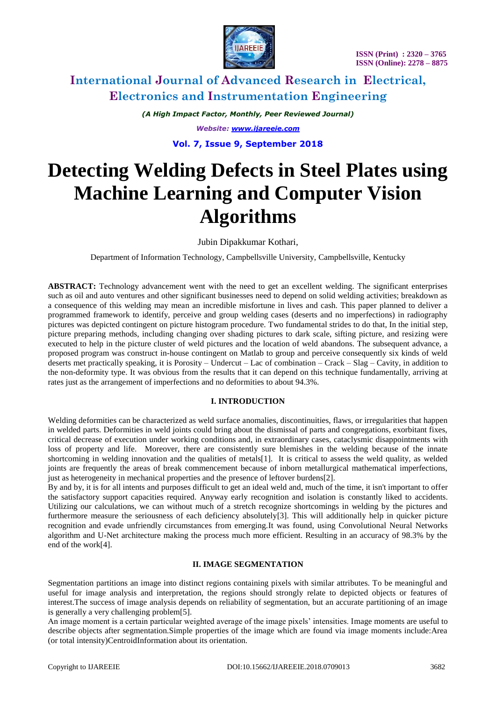

*(A High Impact Factor, Monthly, Peer Reviewed Journal) Website: [www.ijareeie.com](http://www.ijareeie.com/)* **Vol. 7, Issue 9, September 2018**

**Detecting Welding Defects in Steel Plates using Machine Learning and Computer Vision Algorithms**

Jubin Dipakkumar Kothari,

Department of Information Technology, Campbellsville University, Campbellsville, Kentucky

**ABSTRACT:** Technology advancement went with the need to get an excellent welding. The significant enterprises such as oil and auto ventures and other significant businesses need to depend on solid welding activities; breakdown as a consequence of this welding may mean an incredible misfortune in lives and cash. This paper planned to deliver a programmed framework to identify, perceive and group welding cases (deserts and no imperfections) in radiography pictures was depicted contingent on picture histogram procedure. Two fundamental strides to do that, In the initial step, picture preparing methods, including changing over shading pictures to dark scale, sifting picture, and resizing were executed to help in the picture cluster of weld pictures and the location of weld abandons. The subsequent advance, a proposed program was construct in-house contingent on Matlab to group and perceive consequently six kinds of weld deserts met practically speaking, it is Porosity – Undercut – Lac of combination – Crack – Slag – Cavity, in addition to the non-deformity type. It was obvious from the results that it can depend on this technique fundamentally, arriving at rates just as the arrangement of imperfections and no deformities to about 94.3%.

### **I. INTRODUCTION**

Welding deformities can be characterized as weld surface anomalies, discontinuities, flaws, or irregularities that happen in welded parts. Deformities in weld joints could bring about the dismissal of parts and congregations, exorbitant fixes, critical decrease of execution under working conditions and, in extraordinary cases, cataclysmic disappointments with loss of property and life. Moreover, there are consistently sure blemishes in the welding because of the innate shortcoming in welding innovation and the qualities of metals[1]. It is critical to assess the weld quality, as welded joints are frequently the areas of break commencement because of inborn metallurgical mathematical imperfections, just as heterogeneity in mechanical properties and the presence of leftover burdens[2].

By and by, it is for all intents and purposes difficult to get an ideal weld and, much of the time, it isn't important to offer the satisfactory support capacities required. Anyway early recognition and isolation is constantly liked to accidents. Utilizing our calculations, we can without much of a stretch recognize shortcomings in welding by the pictures and furthermore measure the seriousness of each deficiency absolutely[3]. This will additionally help in quicker picture recognition and evade unfriendly circumstances from emerging.It was found, using Convolutional Neural Networks algorithm and U-Net architecture making the process much more efficient. Resulting in an accuracy of 98.3% by the end of the work[4].

#### **II. IMAGE SEGMENTATION**

Segmentation partitions an image into distinct regions containing pixels with similar attributes. To be meaningful and useful for image analysis and interpretation, the regions should strongly relate to depicted objects or features of interest.The success of image analysis depends on reliability of segmentation, but an accurate partitioning of an image is generally a very challenging problem[5].

An image moment is a certain particular weighted average of the image pixels' intensities. Image moments are useful to describe objects after segmentation.Simple properties of the image which are found via image moments include:Area (or total intensity)CentroidInformation about its orientation.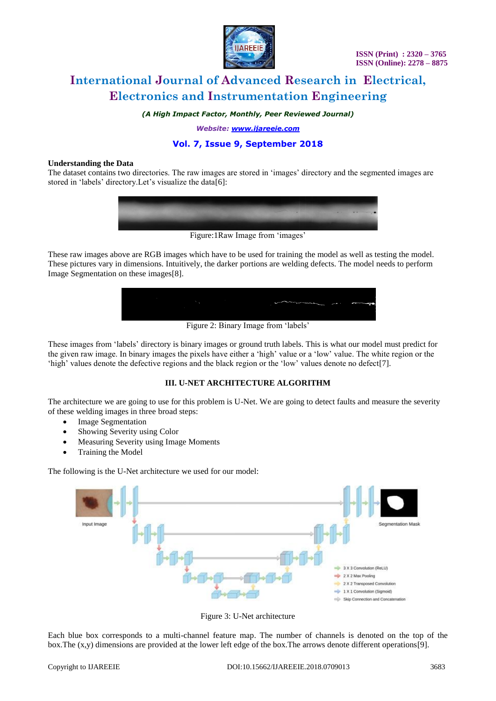

*(A High Impact Factor, Monthly, Peer Reviewed Journal)*

*Website: [www.ijareeie.com](http://www.ijareeie.com/)*

## **Vol. 7, Issue 9, September 2018**

#### **Understanding the Data**

The dataset contains two directories. The raw images are stored in 'images' directory and the segmented images are stored in 'labels' directory.Let's visualize the data[6]:



These raw images above are RGB images which have to be used for training the model as well as testing the model. These pictures vary in dimensions. Intuitively, the darker portions are welding defects. The model needs to perform Image Segmentation on these images[8].

| $-$ | . | __ | .                                |    |                     |
|-----|---|----|----------------------------------|----|---------------------|
|     |   |    |                                  |    |                     |
|     |   |    |                                  |    |                     |
|     |   |    |                                  |    |                     |
|     |   |    | of the company of the company of | -- | <b>Continuously</b> |
|     |   |    |                                  |    |                     |
|     |   |    |                                  |    |                     |
|     |   |    |                                  |    |                     |

Figure 2: Binary Image from 'labels'

These images from 'labels' directory is binary images or ground truth labels. This is what our model must predict for the given raw image. In binary images the pixels have either a 'high' value or a 'low' value. The white region or the 'high' values denote the defective regions and the black region or the 'low' values denote no defect[7].

### **III. U-NET ARCHITECTURE ALGORITHM**

The architecture we are going to use for this problem is U-Net. We are going to detect faults and measure the severity of these welding images in three broad steps:

- Image Segmentation
- Showing Severity using Color
- Measuring Severity using Image Moments
- Training the Model

The following is the U-Net architecture we used for our model:



Figure 3: U-Net architecture

Each blue box corresponds to a multi-channel feature map. The number of channels is denoted on the top of the box.The (x,y) dimensions are provided at the lower left edge of the box.The arrows denote different operations[9].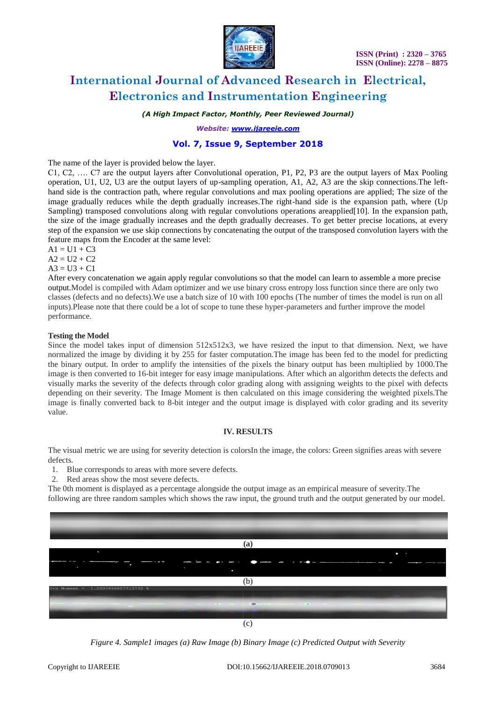

*(A High Impact Factor, Monthly, Peer Reviewed Journal)*

*Website: [www.ijareeie.com](http://www.ijareeie.com/)*

### **Vol. 7, Issue 9, September 2018**

The name of the layer is provided below the layer.

C1, C2, …. C7 are the output layers after Convolutional operation, P1, P2, P3 are the output layers of Max Pooling operation, U1, U2, U3 are the output layers of up-sampling operation, A1, A2, A3 are the skip connections.The lefthand side is the contraction path, where regular convolutions and max pooling operations are applied; The size of the image gradually reduces while the depth gradually increases.The right-hand side is the expansion path, where (Up Sampling) transposed convolutions along with regular convolutions operations areapplied[10]. In the expansion path, the size of the image gradually increases and the depth gradually decreases. To get better precise locations, at every step of the expansion we use skip connections by concatenating the output of the transposed convolution layers with the feature maps from the Encoder at the same level:

 $A1 = U1 + C3$ 

 $A2 = U2 + C2$ 

 $A3 = U3 + C1$ 

After every concatenation we again apply regular convolutions so that the model can learn to assemble a more precise output.Model is compiled with Adam optimizer and we use binary cross entropy loss function since there are only two classes (defects and no defects).We use a batch size of 10 with 100 epochs (The number of times the model is run on all inputs).Please note that there could be a lot of scope to tune these hyper-parameters and further improve the model performance.

#### **Testing the Model**

Since the model takes input of dimension  $512x512x3$ , we have resized the input to that dimension. Next, we have normalized the image by dividing it by 255 for faster computation.The image has been fed to the model for predicting the binary output. In order to amplify the intensities of the pixels the binary output has been multiplied by 1000.The image is then converted to 16-bit integer for easy image manipulations. After which an algorithm detects the defects and visually marks the severity of the defects through color grading along with assigning weights to the pixel with defects depending on their severity. The Image Moment is then calculated on this image considering the weighted pixels.The image is finally converted back to 8-bit integer and the output image is displayed with color grading and its severity value.

#### **IV. RESULTS**

The visual metric we are using for severity detection is colorsIn the image, the colors: Green signifies areas with severe defects.

- 1. Blue corresponds to areas with more severe defects.
- 2. Red areas show the most severe defects.

The 0th moment is displayed as a percentage alongside the output image as an empirical measure of severity.The

following are three random samples which shows the raw input, the ground truth and the output generated by our model.



*Figure 4. Sample1 images (a) Raw Image (b) Binary Image (c) Predicted Output with Severity*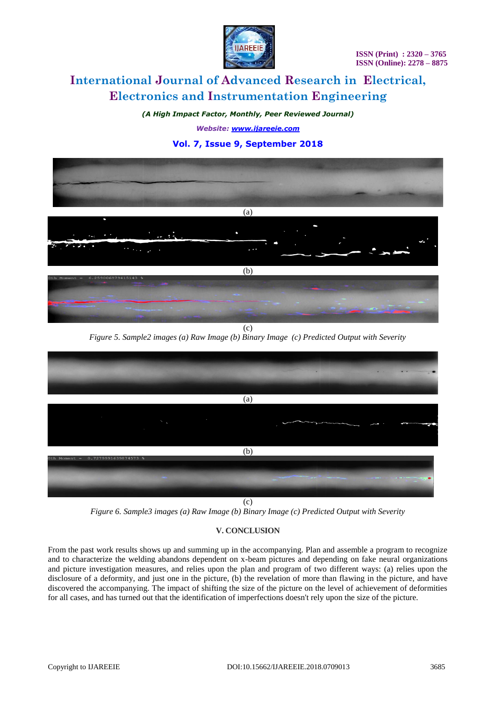

*(A High Impact Factor, Monthly, Peer Reviewed Journal)*

*Website: [www.ijareeie.com](http://www.ijareeie.com/)*

## **Vol. 7, Issue 9, September 2018**





(c) *Figure 6. Sample3 images (a) Raw Image (b) Binary Image (c) Predicted Output with Severity*

### **V. CONCLUSION**

From the past work results shows up and summing up in the accompanying. Plan and assemble a program to recognize and to characterize the welding abandons dependent on x-beam pictures and depending on fake neural organizations and picture investigation measures, and relies upon the plan and program of two different ways: (a) relies upon the disclosure of a deformity, and just one in the picture, (b) the revelation of more than flawing in the picture, and have discovered the accompanying. The impact of shifting the size of the picture on the level of achievement of deformities for all cases, and has turned out that the identification of imperfections doesn't rely upon the size of the picture.